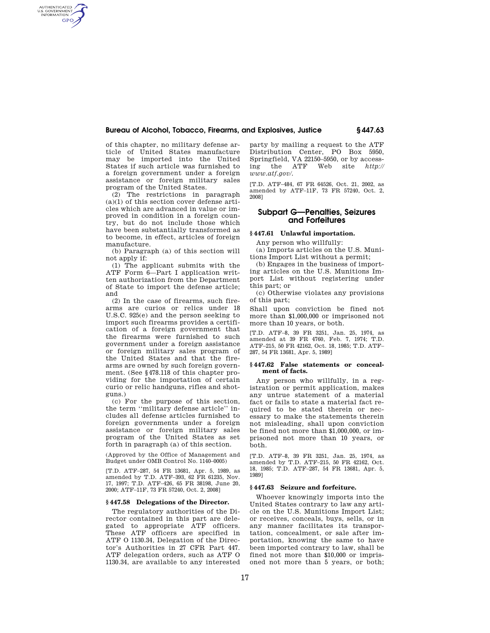## **Bureau of Alcohol, Tobacco, Firearms, and Explosives, Justice § 447.63**

of this chapter, no military defense article of United States manufacture may be imported into the United States if such article was furnished to a foreign government under a foreign assistance or foreign military sales program of the United States.

AUTHENTICATED<br>U.S. GOVERNMENT<br>INFORMATION **GPO** 

> (2) The restrictions in paragraph (a)(1) of this section cover defense articles which are advanced in value or improved in condition in a foreign country, but do not include those which have been substantially transformed as to become, in effect, articles of foreign manufacture.

> (b) Paragraph (a) of this section will not apply if:

> (1) The applicant submits with the ATF Form 6—Part I application written authorization from the Department of State to import the defense article; and

> (2) In the case of firearms, such firearms are curios or relics under 18 U.S.C. 925(e) and the person seeking to import such firearms provides a certification of a foreign government that the firearms were furnished to such government under a foreign assistance or foreign military sales program of the United States and that the firearms are owned by such foreign government. (See §478.118 of this chapter providing for the importation of certain curio or relic handguns, rifles and shotguns.)

> (c) For the purpose of this section, the term ''military defense article'' includes all defense articles furnished to foreign governments under a foreign assistance or foreign military sales program of the United States as set forth in paragraph (a) of this section.

> (Approved by the Office of Management and Budget under OMB Control No. 1140–0005)

> [T.D. ATF–287, 54 FR 13681, Apr. 5, 1989, as amended by T.D. ATF–393, 62 FR 61235, Nov. 17, 1997; T.D. ATF–426, 65 FR 38198, June 20, 2000; ATF–11F, 73 FR 57240, Oct. 2, 2008]

#### **§ 447.58 Delegations of the Director.**

The regulatory authorities of the Director contained in this part are delegated to appropriate ATF officers. These ATF officers are specified in ATF O 1130.34, Delegation of the Director's Authorities in 27 CFR Part 447. ATF delegation orders, such as ATF O 1130.34, are available to any interested

party by mailing a request to the ATF Distribution Center, PO Box 5950, Springfield, VA 22150–5950, or by access-<br>ing the ATF Web site  $http://$ ing the ATF *www.atf.gov/.* 

[T.D. ATF–484, 67 FR 64526, Oct. 21, 2002, as amended by ATF–11F, 73 FR 57240, Oct. 2, 2008]

# **Subpart G—Penalties, Seizures and Forfeitures**

## **§ 447.61 Unlawful importation.**

Any person who willfully:

(a) Imports articles on the U.S. Munitions Import List without a permit;

(b) Engages in the business of importing articles on the U.S. Munitions Import List without registering under this part; or

(c) Otherwise violates any provisions of this part;

Shall upon conviction be fined not more than \$1,000,000 or imprisoned not more than 10 years, or both.

[T.D. ATF–8, 39 FR 3251, Jan. 25, 1974, as amended at 39 FR 4760, Feb. 7, 1974; T.D. ATF–215, 50 FR 42162, Oct. 18, 1985; T.D. ATF– 287, 54 FR 13681, Apr. 5, 1989]

#### **§ 447.62 False statements or concealment of facts.**

Any person who willfully, in a registration or permit application, makes any untrue statement of a material fact or fails to state a material fact required to be stated therein or necessary to make the statements therein not misleading, shall upon conviction be fined not more than \$1,000,000, or imprisoned not more than 10 years, or both.

[T.D. ATF–8, 39 FR 3251, Jan. 25, 1974, as amended by T.D. ATF–215, 50 FR 42162, Oct. 18, 1985; T.D. ATF–287, 54 FR 13681, Apr. 5, 1989]

#### **§ 447.63 Seizure and forfeiture.**

Whoever knowingly imports into the United States contrary to law any article on the U.S. Munitions Import List; or receives, conceals, buys, sells, or in any manner facilitates its transportation, concealment, or sale after importation, knowing the same to have been imported contrary to law, shall be fined not more than \$10,000 or imprisoned not more than 5 years, or both;